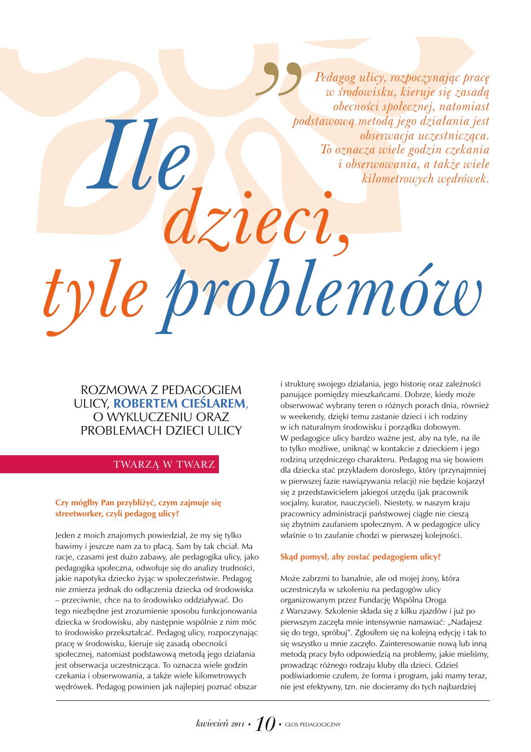Pedagog ulicy, rozpoczynając pracę w środowisku, kieruje się zasadą obecności społecznej, natomiast podstawową metodą jego działania jest obserwacja uczestnicząca. To oznacza wiele godzin czekania *i* obserwowania, a także wiele kilometrowych wędrówek.

# zieci, tyle problemóre

# ROZMOWA Z PEDAGOGIEM ULICY, ROBERTEM CIESLAREM, O WYKLUCZENIU ORAZ PROBLEMACH DZIECI ULICY

*Me* 

## TWARZA W TWARZ

### Czy mógłby Pan przybliżyć, czym zajmuje się streetworker, czyli pedagog ulicy?

Jeden z moich znajomych powiedział, że my się tylko bawimy i jeszcze nam za to płacą. Sam by tak chciał. Ma racje, czasami jest dużo zabawy, ale pedagogika ulicy, jako pedagogika społeczna, odwołuje się do analizy trudności, jakie napotyka dziecko żyjąc w społeczeństwie. Pedagog nie zmierza jednak do odłączenia dziecka od środowiska - przeciwnie, chce na to środowisko oddziaływać. Do tego niezbędne jest zrozumienie sposobu funkcjonowania dziecka w środowisku, aby następnie wspólnie z nim móc to środowisko przekształcać. Pedagog ulicy, rozpoczynając pracę w środowisku, kieruje się zasadą obecności społecznej, natomiast podstawową metodą jego działania jest obserwacja uczestnicząca. To oznacza wiele godzin czekania i obserwowania, a także wiele kilometrowych wędrówek. Pedagog powinien jak najlepiej poznać obszar

i strukturę swojego działania, jego historię oraz zależności panujące pomiędzy mieszkańcami. Dobrze, kiedy może obserwować wybrany teren o różnych porach dnia, również w weekendy, dzięki temu zastanie dzieci i ich rodziny w ich naturalnym środowisku i porządku dobowym. W pedagogice ulicy bardzo ważne jest, aby na tyle, na ile to tylko możliwe, uniknąć w kontakcie z dzieckiem i jego rodziną urzędniczego charakteru. Pedagog ma się bowiem dla dziecka stać przykładem dorosłego, który (przynajmniej w pierwszej fazie nawiązywania relacji) nie będzie kojarzył się z przedstawicielem jakiegoś urzędu (jak pracownik socjalny, kurator, nauczyciel). Niestety, w naszym kraju pracownicy administracji państwowej ciagle nie ciesza się zbytnim zaufaniem społecznym. A w pedagogice ulicy właśnie o to zaufanie chodzi w pierwszej kolejności.

### Skąd pomysł, aby zostać pedagogiem ulicy?

Może zabrzmi to banalnie, ale od mojej żony, która uczestniczyła w szkoleniu na pedagogów ulicy organizowanym przez Fundację Wspólna Droga z Warszawy. Szkolenie składa się z kilku zjazdów i już po pierwszym zaczęła mnie intensywnie namawiać: "Nadajesz się do tego, spróbuj". Zgłosiłem się na kolejną edycję i tak to się wszystko u mnie zaczęło. Zainteresowanie nową lub inną metoda pracy było odpowiedzia na problemy, jakie mieliśmy, prowadząc różnego rodzaju kluby dla dzieci. Gdzieś podświadomie czułem, że forma i program, jaki mamy teraz, nie jest efektywny, tzn. nie docieramy do tych najbardziej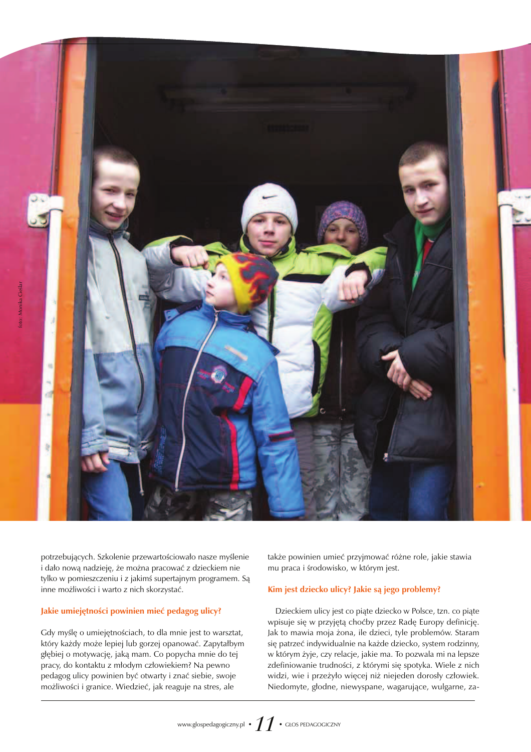

potrzebujących. Szkolenie przewartościowało nasze myślenie i dało nową nadzieję, że można pracować z dzieckiem nie tylko w pomieszczeniu i z jakimś supertajnym programem. Są inne możliwości i warto z nich skorzystać.

### Jakie umiejętności powinien mieć pedagog ulicy?

Gdy myślę o umiejętnościach, to dla mnie jest to warsztat, który każdy może lepiej lub gorzej opanować. Zapytałbym głębiej o motywację, jaką mam. Co popycha mnie do tej pracy, do kontaktu z młodym człowiekiem? Na pewno pedagog ulicy powinien być otwarty i znać siebie, swoje możliwości i granice. Wiedzieć, jak reaguje na stres, ale

także powinien umieć przyjmować różne role, jakie stawia mu praca i środowisko, w którym jest.

### Kim jest dziecko ulicy? Jakie są jego problemy?

Dzieckiem ulicy jest co piąte dziecko w Polsce, tzn. co piąte wpisuje się w przyjętą choćby przez Radę Europy definicję. Jak to mawia moja żona, ile dzieci, tyle problemów. Staram się patrzeć indywidualnie na każde dziecko, system rodzinny, w którym żyje, czy relacje, jakie ma. To pozwala mi na lepsze zdefiniowanie trudności, z którymi się spotyka. Wiele z nich widzi, wie i przeżyło więcej niż niejeden dorosły człowiek. Niedomyte, głodne, niewyspane, wagarujące, wulgarne, za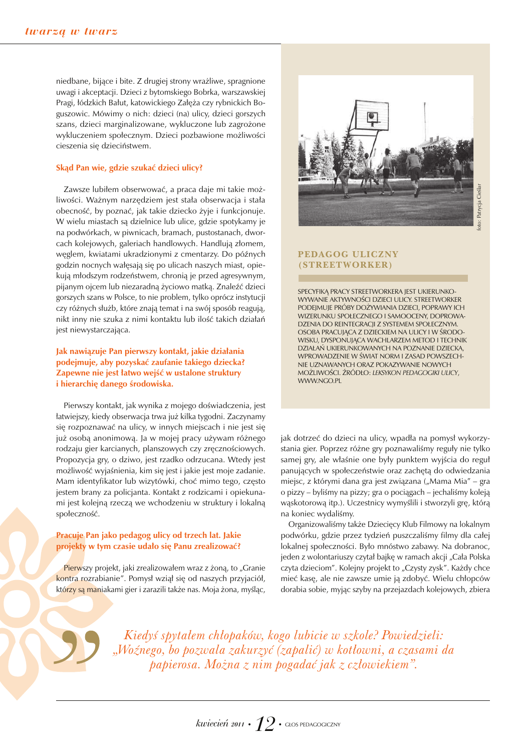niedbane, bijące i bite. Z drugiej strony wrażliwe, spragnione uwagi i akceptacji. Dzieci z bytomskiego Bobrka, warszawskiej Pragi, łódzkich Bałut, katowickiego Załęża czy rybnickich Boguszowic. Mówimy o nich: dzieci (na) ulicy, dzieci gorszych szans, dzieci marginalizowane, wykluczone lub zagrożone wykluczeniem społecznym. Dzieci pozbawione możliwości cieszenia się dzieciństwem.

### Skąd Pan wie, gdzie szukać dzieci ulicy?

Zawsze lubiłem obserwować, a praca daje mi takie możliwości. Ważnym narzędziem jest stała obserwacja i stała obecność, by poznać, jak takie dziecko żyje i funkcjonuje. W wielu miastach są dzielnice lub ulice, gdzie spotykamy je na podwórkach, w piwnicach, bramach, pustostanach, dworcach kolejowych, galeriach handlowych. Handlują złomem, węglem, kwiatami ukradzionymi z cmentarzy. Do późnych godzin nocnych wałęsają się po ulicach naszych miast, opiekują młodszym rodzeństwem, chronią je przed agresywnym, pijanym ojcem lub niezaradną życiowo matką. Znaleźć dzieci gorszych szans w Polsce, to nie problem, tylko oprócz instytucji czy różnych służb, które znają temat i na swój sposób reagują, nikt inny nie szuka z nimi kontaktu lub ilość takich działań jest niewystarczająca.

Jak nawiązuje Pan pierwszy kontakt, jakie działania podejmuje, aby pozyskać zaufanie takiego dziecka? Zapewne nie jest łatwo wejść w ustalone struktury i hierarchię danego środowiska.

Pierwszy kontakt, jak wynika z mojego doświadczenia, jest łatwiejszy, kiedy obserwacja trwa już kilka tygodni. Zaczynamy się rozpoznawać na ulicy, w innych miejscach i nie jest się już osobą anonimową. Ja w mojej pracy używam różnego rodzaju gier karcianych, planszowych czy zręcznościowych. Propozycja gry, o dziwo, jest rzadko odrzucana. Wtedy jest możliwość wyjaśnienia, kim się jest i jakie jest moje zadanie. Mam identyfikator lub wizytówki, choć mimo tego, często jestem brany za policjanta. Kontakt z rodzicami i opiekunami jest kolejną rzeczą we wchodzeniu w struktury i lokalną społeczność.

### Pracuje Pan jako pedagog ulicy od trzech lat. Jakie projekty w tym czasie udało się Panu zrealizować?

Pierwszy projekt, jaki zrealizowałem wraz z żoną, to "Granie kontra rozrabianie". Pomysł wziął się od naszych przyjaciół, którzy są maniakami gier i zarazili także nas. Moja żona, myśląc,



### **PEDAGOG ULICZNY** (STREETWORKER)

SPECYFIKĄ PRACY STREETWORKERA JEST UKIERUNKO-WYWANIE AKTYWNOŚCI DZIECI ULICY. STREETWORKER PODEJMUJE PRÓBY DOŻYWIANIA DZIECI, POPRAWY ICH WIZERUNKU SPOŁECZNEGO I SAMOOCENY, DOPROWA-DZENIA DO REINTEGRACJI Z SYSTEMEM SPOŁECZNYM. OSOBA PRACUJĄCA Z DZIECKIEM NA ULICY I W ŚRODO-WISKU, DYSPONUJĄCA WACHLARZEM METOD I TECHNIK DZIAŁAŃ UKIERUNKOWANYCH NA POZNANIE DZIECKA, WPROWADZENIE W ŚWIAT NORM I ZASAD POWSZECH-NIE UZNAWANYCH ORAZ POKAZYWANIE NOWYCH MOŻLIWOŚCI. ŹRÓDŁO: LEKSYKON PEDAGOGIKI ULICY, **WWW.NGO.PL** 

jak dotrzeć do dzieci na ulicy, wpadła na pomysł wykorzystania gier. Poprzez różne gry poznawaliśmy reguły nie tylko samej gry, ale właśnie one były punktem wyjścia do reguł panujących w społeczeństwie oraz zachętą do odwiedzania miejsc, z którymi dana gra jest związana ("Mama Mia" – gra o pizzy – byliśmy na pizzy; gra o pociągach – jechaliśmy koleją wąskotorową itp.). Uczestnicy wymyślili i stworzyli grę, którą na koniec wydaliśmy.

Organizowaliśmy także Dziecięcy Klub Filmowy na lokalnym podwórku, gdzie przez tydzień puszczaliśmy filmy dla całej lokalnej społeczności. Było mnóstwo zabawy. Na dobranoc, jeden z wolontariuszy czytał bajkę w ramach akcji "Cała Polska czyta dzieciom". Kolejny projekt to "Czysty zysk". Każdy chce mieć kasę, ale nie zawsze umie ją zdobyć. Wielu chłopców dorabia sobie, myjąc szyby na przejazdach kolejowych, zbiera

Kiedyś spytałem chłopaków, kogo lubicie w szkole? Powiedzieli: "Woźnego, bo pozwala zakurzyć (zapalić) w kotłowni, a czasami da papierosa. Można z nim pogadać jak z człowiekiem".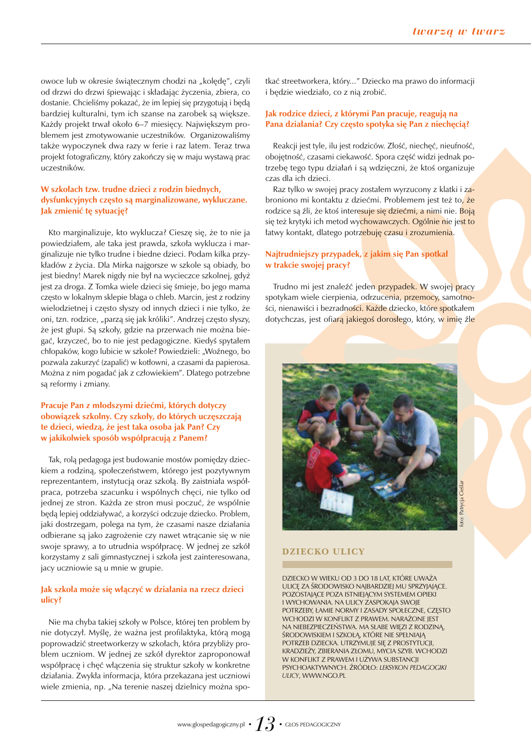owoce lub w okresie świątecznym chodzi na "kolędę", czyli od drzwi do drzwi śpiewając i składając życzenia, zbiera, co dostanie. Chcieliśmy pokazać, że im lepiej się przygotują i będą bardziej kulturalni, tym ich szanse na zarobek są większe. Każdy projekt trwał około 6–7 miesięcy. Największym problemem jest zmotywowanie uczestników. Organizowaliśmy także wypoczynek dwa razy w ferie i raz latem. Teraz trwa projekt fotograficzny, który zakończy się w maju wystawą prac uczestników.

### W szkołach tzw. trudne dzieci z rodzin biednych, dysfunkcyjnych często są marginalizowane, wykluczane. Jak zmienić tę sytuację?

Kto marginalizuje, kto wyklucza? Cieszę się, że to nie ja powiedziałem, ale taka jest prawda, szkoła wyklucza i marginalizuje nie tylko trudne i biedne dzieci. Podam kilka przykładów z życia. Dla Mirka najgorsze w szkole są obiady, bo jest biedny! Marek nigdy nie był na wycieczce szkolnej, gdyż jest za droga. Z Tomka wiele dzieci się śmieje, bo jego mama często w lokalnym sklepie błaga o chleb. Marcin, jest z rodziny wielodzietnej i często słyszy od innych dzieci i nie tylko, że oni, tzn. rodzice, "parzą się jak króliki". Andrzej często słyszy, że jest głupi. Są szkoły, gdzie na przerwach nie można biegać, krzyczeć, bo to nie jest pedagogiczne. Kiedyś spytałem chłopaków, kogo lubicie w szkole? Powiedzieli: "Woźnego, bo pozwala zakurzyć (zapalić) w kotłowni, a czasami da papierosa. Można z nim pogadać jak z człowiekiem". Dlatego potrzebne są reformy i zmiany.

### Pracuje Pan z młodszymi dziećmi, których dotyczy obowiązek szkolny. Czy szkoły, do których uczęszczają te dzieci, wiedzą, że jest taka osoba jak Pan? Czy w jakikolwiek sposób współpracują z Panem?

Tak, rolą pedagoga jest budowanie mostów pomiędzy dzieckiem a rodziną, społeczeństwem, którego jest pozytywnym reprezentantem, instytucją oraz szkołą. By zaistniała współpraca, potrzeba szacunku i wspólnych chęci, nie tylko od jednej ze stron. Każda ze stron musi poczuć, że wspólnie będą lepiej oddziaływać, a korzyści odczuje dziecko. Problem, jaki dostrzegam, polega na tym, że czasami nasze działania odbierane są jako zagrożenie czy nawet wtrącanie się w nie swoje sprawy, a to utrudnia współpracę. W jednej ze szkół korzystamy z sali gimnastycznej i szkoła jest zainteresowana, jacy uczniowie są u mnie w grupie.

### Jak szkoła może się włączyć w działania na rzecz dzieci ulicy?

Nie ma chyba takiej szkoły w Polsce, której ten problem by nie dotyczył. Myślę, że ważna jest profilaktyka, którą mogą poprowadzić streetworkerzy w szkołach, która przybliży problem uczniom. W jednej ze szkół dyrektor zaproponował współpracę i chęć włączenia się struktur szkoły w konkretne działania. Zwykła informacja, która przekazana jest uczniowi wiele zmienia, np. "Na terenie naszej dzielnicy można spotkać streetworkera, który..." Dziecko ma prawo do informacji i będzie wiedziało, co z nią zrobić.

### Jak rodzice dzieci, z którymi Pan pracuje, reagują na Pana działania? Czy często spotyka się Pan z niechęcią?

Reakcji jest tyle, ilu jest rodziców. Złość, niechęć, nieufność, obojętność, czasami ciekawość. Spora część widzi jednak potrzebę tego typu działań i są wdzięczni, że ktoś organizuje czas dla ich dzieci.

Raz tylko w swojej pracy zostałem wyrzucony z klatki i zabroniono mi kontaktu z dziećmi. Problemem jest też to, że rodzice są źli, że ktoś interesuje się dziećmi, a nimi nie. Boją się też krytyki ich metod wychowawczych. Ogólnie nie jest to łatwy kontakt, dlatego potrzebuję czasu i zrozumienia.

### Najtrudniejszy przypadek, z jakim się Pan spotkał w trakcie swojej pracy?

Trudno mi jest znaleźć jeden przypadek. W swojej pracy spotykam wiele cierpienia, odrzucenia, przemocy, samotności, nienawiści i bezradności. Każde dziecko, które spotkałem dotychczas, jest ofiarą jakiegoś dorosłego, który, w imię źle



# Patrycja Cieśla

### DZIECKO ULICY

DZIECKO W WIEKU OD 3 DO 18 LAT, KTÓRE UWAŻA ULICE ZA ŚRODOWISKO NAJBARDZIEJ MU SPRZYJAJĄCE. POZOSTAJĄCE POZA ISTNIEJĄCYM SYSTEMEM OPIEKI I WYCHOWANIA. NA ULICY ZASPOKAJA SWOJE POTRZEBY, ŁAMIE NORMY I ZASADY SPOŁECZNE, CZĘSTO WCHODZI W KONFLIKT Z PRAWEM. NARAŻONE JEST NA NIEBEZPIECZEŃSTWA. MA SŁABE WIĘZI Z RODZINĄ, ŚRODOWISKIEM I SZKOŁĄ, KTÓRE NIE SPEŁNIAJĄ POTRZEB DZIECKA. UTRZYMUJE SIĘ Z PROSTYTUCJI, KRADZIEŻY, ZBIERANIA ZŁOMU, MYCIA SZYB. WCHODZI W KONFLIKT Z PRAWEM I UŻYWA SUBSTANCJI PSYCHOAKTYWNYCH. ŹRÓDŁO: LEKSYKON PEDAGOGIKI **ULICY. WWW NGO PL**